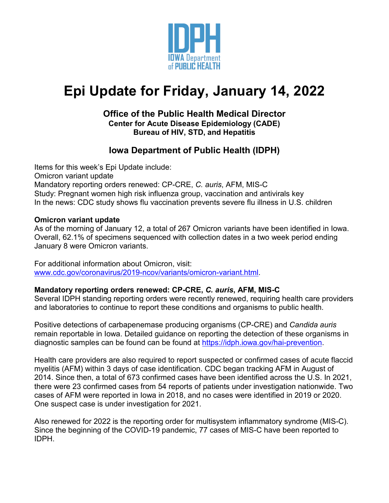

# **Epi Update for Friday, January 14, 2022**

## **Office of the Public Health Medical Director Center for Acute Disease Epidemiology (CADE) Bureau of HIV, STD, and Hepatitis**

# **Iowa Department of Public Health (IDPH)**

Items for this week's Epi Update include: Omicron variant update Mandatory reporting orders renewed: CP-CRE, *C. auris*, AFM, MIS-C Study: Pregnant women high risk influenza group, vaccination and antivirals key In the news: CDC study shows flu vaccination prevents severe flu illness in U.S. children

#### **Omicron variant update**

As of the morning of January 12, a total of 267 Omicron variants have been identified in Iowa. Overall, 62.1% of specimens sequenced with collection dates in a two week period ending January 8 were Omicron variants.

For additional information about Omicron, visit: [www.cdc.gov/coronavirus/2019-ncov/variants/omicron-variant.html.](http://www.cdc.gov/coronavirus/2019-ncov/variants/omicron-variant.html)

#### **Mandatory reporting orders renewed: CP-CRE,** *C. auris***, AFM, MIS-C**

Several IDPH standing reporting orders were recently renewed, requiring health care providers and laboratories to continue to report these conditions and organisms to public health.

Positive detections of carbapenemase producing organisms (CP-CRE) and *Candida auris* remain reportable in Iowa. Detailed guidance on reporting the detection of these organisms in diagnostic samples can be found can be found at [https://idph.iowa.gov/hai-prevention.](https://idph.iowa.gov/hai-prevention)

Health care providers are also required to report suspected or confirmed cases of acute flaccid myelitis (AFM) within 3 days of case identification. CDC began tracking AFM in August of 2014. Since then, a total of 673 confirmed cases have been identified across the U.S. In 2021, there were 23 confirmed cases from 54 reports of patients under investigation nationwide. Two cases of AFM were reported in Iowa in 2018, and no cases were identified in 2019 or 2020. One suspect case is under investigation for 2021.

Also renewed for 2022 is the reporting order for multisystem inflammatory syndrome (MIS-C). Since the beginning of the COVID-19 pandemic, 77 cases of MIS-C have been reported to IDPH.